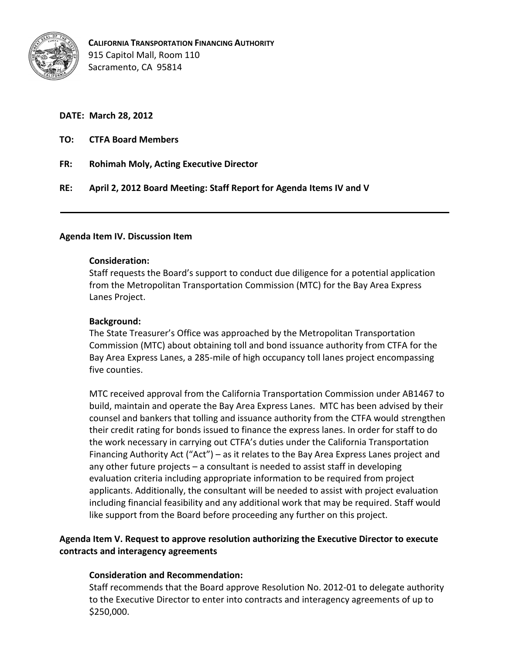

## **DATE: March 28, 2012**

- **TO: CTFA Board Members**
- **FR: Rohimah Moly, Acting Executive Director**

**RE: April 2, 2012 Board Meeting: Staff Report for Agenda Items IV and V** 

### **Agenda Item IV. Discussion Item**

### **Consideration:**

Staff requests the Board's support to conduct due diligence for a potential application from the Metropolitan Transportation Commission (MTC) for the Bay Area Express Lanes Project.

### **Background:**

The State Treasurer's Office was approached by the Metropolitan Transportation Commission (MTC) about obtaining toll and bond issuance authority from CTFA for the Bay Area Express Lanes, a 285-mile of high occupancy toll lanes project encompassing five counties.

MTC received approval from the California Transportation Commission under AB1467 to build, maintain and operate the Bay Area Express Lanes. MTC has been advised by their counsel and bankers that tolling and issuance authority from the CTFA would strengthen their credit rating for bonds issued to finance the express lanes. In order for staff to do the work necessary in carrying out CTFA's duties under the California Transportation Financing Authority Act ("Act") – as it relates to the Bay Area Express Lanes project and any other future projects – a consultant is needed to assist staff in developing evaluation criteria including appropriate information to be required from project applicants. Additionally, the consultant will be needed to assist with project evaluation including financial feasibility and any additional work that may be required. Staff would like support from the Board before proceeding any further on this project.

# **Agenda Item V. Request to approve resolution authorizing the Executive Director to execute contracts and interagency agreements**

### **Consideration and Recommendation:**

Staff recommends that the Board approve Resolution No. 2012-01 to delegate authority to the Executive Director to enter into contracts and interagency agreements of up to \$250,000.